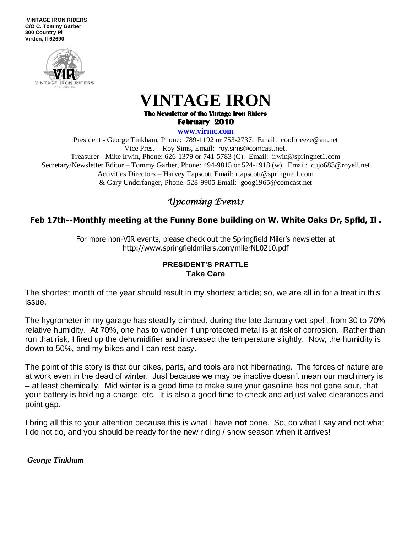**VINTAGE IRON RIDERS C/O C. Tommy Garber 300 Country Pl Virden, Il 62690**



# **VINTAGE IRON The Newsletter of the Vintage Iron Riders**

**February 2010** 

#### **www.virmc.com**

President - George Tinkham, Phone: 789-1192 or 753-2737. Email: coolbreeze@att.net Vice Pres. – Roy Sims, Email: [roy.sims@comcast.net.](mailto:roy.sims@comcast.net) Treasurer - Mike Irwin, Phone: 626-1379 or 741-5783 (C). Email: irwin@springnet1.com Secretary/Newsletter Editor – Tommy Garber, Phone: 494-9815 or 524-1918 (w). Email: cujo683@royell.net Activities Directors – Harvey Tapscott Email: rtapscott@springnet1.com & Gary Underfanger, Phone: 528-9905 Email: goog1965@comcast.net

## *Upcoming Events*

### **Feb 17th--Monthly meeting at the Funny Bone building on W. White Oaks Dr, Spfld, Il .**

For more non-VIR events, please check out the Springfield Miler's newsletter at http://www.springfieldmilers.com/milerNL0210.pdf

#### **PRESIDENT'S PRATTLE Take Care**

The shortest month of the year should result in my shortest article; so, we are all in for a treat in this issue.

The hygrometer in my garage has steadily climbed, during the late January wet spell, from 30 to 70% relative humidity. At 70%, one has to wonder if unprotected metal is at risk of corrosion. Rather than run that risk, I fired up the dehumidifier and increased the temperature slightly. Now, the humidity is down to 50%, and my bikes and I can rest easy.

The point of this story is that our bikes, parts, and tools are not hibernating. The forces of nature are at work even in the dead of winter. Just because we may be inactive doesn't mean our machinery is – at least chemically. Mid winter is a good time to make sure your gasoline has not gone sour, that your battery is holding a charge, etc. It is also a good time to check and adjust valve clearances and point gap.

I bring all this to your attention because this is what I have **not** done. So, do what I say and not what I do not do, and you should be ready for the new riding / show season when it arrives!

*George Tinkham*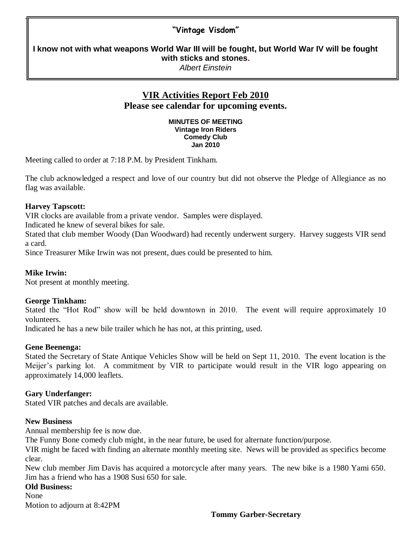## **"Vintage Visdom"**

**I know not with what weapons World War III will be fought, but World War IV will be fought with sticks and stones.** *Albert Einstein* 

## **VIR Activities Report Feb 2010 Please see calendar for upcoming events.**

**MINUTES OF MEETING Vintage Iron Riders Comedy Club Jan 2010** 

Meeting called to order at 7:18 P.M. by President Tinkham.

The club acknowledged a respect and love of our country but did not observe the Pledge of Allegiance as no flag was available.

#### **Harvey Tapscott:**

"

VIR clocks are available from a private vendor. Samples were displayed.

Indicated he knew of several bikes for sale.

Stated that club member Woody (Dan Woodward) had recently underwent surgery. Harvey suggests VIR send a card.

Since Treasurer Mike Irwin was not present, dues could be presented to him.

#### **Mike Irwin:**

Not present at monthly meeting.

#### **George Tinkham:**

Stated the "Hot Rod" show will be held downtown in 2010. The event will require approximately 10 volunteers.

Indicated he has a new bile trailer which he has not, at this printing, used.

#### **Gene Beenenga:**

Stated the Secretary of State Antique Vehicles Show will be held on Sept 11, 2010. The event location is the Meijer's parking lot. A commitment by VIR to participate would result in the VIR logo appearing on approximately 14,000 leaflets.

#### **Gary Underfanger:**

Stated VIR patches and decals are available.

#### **New Business**

Annual membership fee is now due.

The Funny Bone comedy club might, in the near future, be used for alternate function/purpose.

VIR might be faced with finding an alternate monthly meeting site. News will be provided as specifics become clear.

New club member Jim Davis has acquired a motorcycle after many years. The new bike is a 1980 Yami 650. Jim has a friend who has a 1908 Susi 650 for sale.

**Old Business:**

None

Motion to adjourn at 8:42PM

#### **Tommy Garber-Secretary**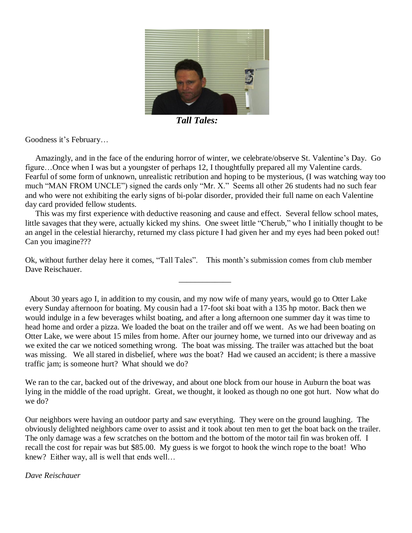

 *Tall Tales:* 

Goodness it's February…

 Amazingly, and in the face of the enduring horror of winter, we celebrate/observe St. Valentine's Day. Go figure…Once when I was but a youngster of perhaps 12, I thoughtfully prepared all my Valentine cards. Fearful of some form of unknown, unrealistic retribution and hoping to be mysterious, (I was watching way too much "MAN FROM UNCLE") signed the cards only "Mr. X." Seems all other 26 students had no such fear and who were not exhibiting the early signs of bi-polar disorder, provided their full name on each Valentine day card provided fellow students.

 This was my first experience with deductive reasoning and cause and effect. Several fellow school mates, little savages that they were, actually kicked my shins. One sweet little "Cherub," who I initially thought to be an angel in the celestial hierarchy, returned my class picture I had given her and my eyes had been poked out! Can you imagine???

Ok, without further delay here it comes, "Tall Tales". This month's submission comes from club member Dave Reischauer.

 $\mathcal{L}_\mathcal{L}$  , which is a set of the set of the set of the set of the set of the set of the set of the set of the set of the set of the set of the set of the set of the set of the set of the set of the set of the set of

 About 30 years ago I, in addition to my cousin, and my now wife of many years, would go to Otter Lake every Sunday afternoon for boating. My cousin had a 17-foot ski boat with a 135 hp motor. Back then we would indulge in a few beverages whilst boating, and after a long afternoon one summer day it was time to head home and order a pizza. We loaded the boat on the trailer and off we went. As we had been boating on Otter Lake, we were about 15 miles from home. After our journey home, we turned into our driveway and as we exited the car we noticed something wrong. The boat was missing. The trailer was attached but the boat was missing. We all stared in disbelief, where *was* the boat? Had we caused an accident; is there a massive traffic jam; is someone hurt? What should we do?

We ran to the car, backed out of the driveway, and about one block from our house in Auburn the boat was lying in the middle of the road upright. Great, we thought, it looked as though no one got hurt. Now what do we do?

Our neighbors were having an outdoor party and saw everything. They were on the ground laughing. The obviously delighted neighbors came over to assist and it took about ten men to get the boat back on the trailer. The only damage was a few scratches on the bottom and the bottom of the motor tail fin was broken off. I recall the cost for repair was but \$85.00. My guess is we forgot to hook the winch rope to the boat! Who knew? Either way, all is well that ends well...

#### *Dave Reischauer*